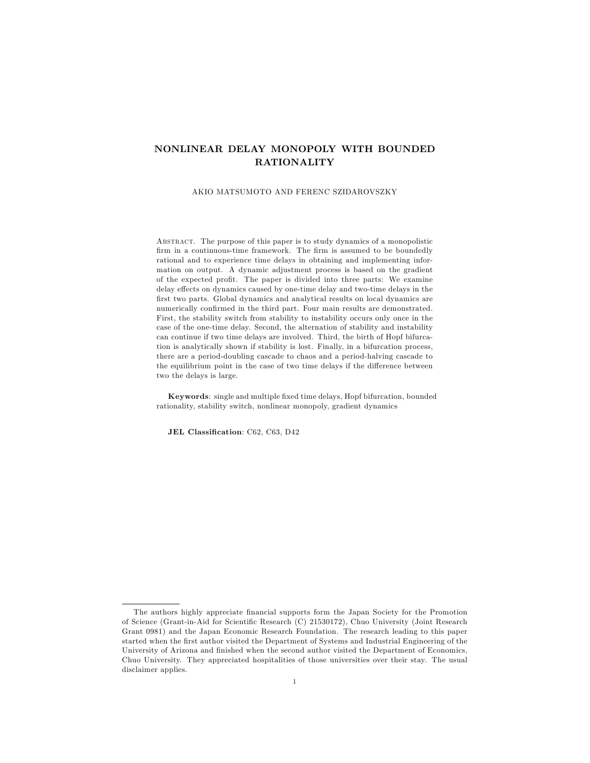# NONLINEAR DELAY MONOPOLY WITH BOUNDED RATIONALITY

AKIO MATSUMOTO AND FERENC SZIDAROVSZKY

Abstract. The purpose of this paper is to study dynamics of a monopolistic firm in a continuous-time framework. The firm is assumed to be boundedly rational and to experience time delays in obtaining and implementing information on output. A dynamic adjustment process is based on the gradient of the expected profit. The paper is divided into three parts: We examine delay effects on dynamics caused by one-time delay and two-time delays in the first two parts. Global dynamics and analytical results on local dynamics are numerically confirmed in the third part. Four main results are demonstrated. First, the stability switch from stability to instability occurs only once in the case of the one-time delay. Second, the alternation of stability and instability can continue if two time delays are involved. Third, the birth of Hopf bifurcation is analytically shown if stability is lost. Finally, in a bifurcation process, there are a period-doubling cascade to chaos and a period-halving cascade to the equilibrium point in the case of two time delays if the difference between two the delays is large.

Keywords: single and multiple Öxed time delays, Hopf bifurcation, bounded rationality, stability switch, nonlinear monopoly, gradient dynamics

JEL Classification: C62, C63, D42

The authors highly appreciate Önancial supports form the Japan Society for the Promotion of Science (Grant-in-Aid for Scientific Research (C) 21530172), Chuo University (Joint Research Grant 0981) and the Japan Economic Research Foundation. The research leading to this paper started when the Örst author visited the Department of Systems and Industrial Engineering of the University of Arizona and finished when the second author visited the Department of Economics, Chuo University. They appreciated hospitalities of those universities over their stay. The usual disclaimer applies.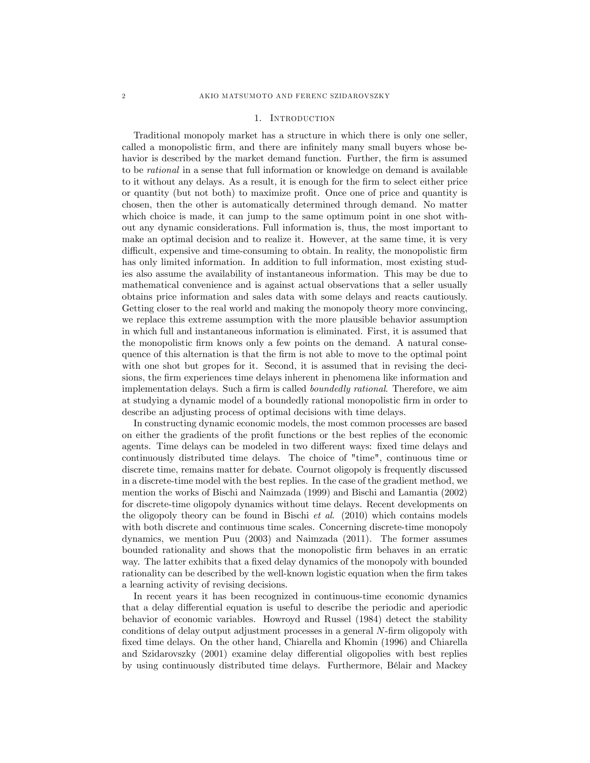#### 1. INTRODUCTION

Traditional monopoly market has a structure in which there is only one seller, called a monopolistic firm, and there are infinitely many small buyers whose behavior is described by the market demand function. Further, the firm is assumed to be rational in a sense that full information or knowledge on demand is available to it without any delays. As a result, it is enough for the firm to select either price or quantity (but not both) to maximize profit. Once one of price and quantity is chosen, then the other is automatically determined through demand. No matter which choice is made, it can jump to the same optimum point in one shot without any dynamic considerations. Full information is, thus, the most important to make an optimal decision and to realize it. However, at the same time, it is very difficult, expensive and time-consuming to obtain. In reality, the monopolistic firm has only limited information. In addition to full information, most existing studies also assume the availability of instantaneous information. This may be due to mathematical convenience and is against actual observations that a seller usually obtains price information and sales data with some delays and reacts cautiously. Getting closer to the real world and making the monopoly theory more convincing, we replace this extreme assumption with the more plausible behavior assumption in which full and instantaneous information is eliminated. First, it is assumed that the monopolistic firm knows only a few points on the demand. A natural consequence of this alternation is that the Örm is not able to move to the optimal point with one shot but gropes for it. Second, it is assumed that in revising the decisions, the firm experiences time delays inherent in phenomena like information and implementation delays. Such a firm is called *boundedly rational*. Therefore, we aim at studying a dynamic model of a boundedly rational monopolistic Örm in order to describe an adjusting process of optimal decisions with time delays.

In constructing dynamic economic models, the most common processes are based on either the gradients of the profit functions or the best replies of the economic agents. Time delays can be modeled in two different ways: fixed time delays and continuously distributed time delays. The choice of "time", continuous time or discrete time, remains matter for debate. Cournot oligopoly is frequently discussed in a discrete-time model with the best replies. In the case of the gradient method, we mention the works of Bischi and Naimzada (1999) and Bischi and Lamantia (2002) for discrete-time oligopoly dynamics without time delays. Recent developments on the oligopoly theory can be found in Bischi *et al.* (2010) which contains models with both discrete and continuous time scales. Concerning discrete-time monopoly dynamics, we mention Puu (2003) and Naimzada (2011). The former assumes bounded rationality and shows that the monopolistic Örm behaves in an erratic way. The latter exhibits that a fixed delay dynamics of the monopoly with bounded rationality can be described by the well-known logistic equation when the firm takes a learning activity of revising decisions.

In recent years it has been recognized in continuous-time economic dynamics that a delay differential equation is useful to describe the periodic and aperiodic behavior of economic variables. Howroyd and Russel (1984) detect the stability conditions of delay output adjustment processes in a general  $N$ -firm oligopoly with fixed time delays. On the other hand, Chiarella and Khomin (1996) and Chiarella and Szidarovszky (2001) examine delay differential oligopolies with best replies by using continuously distributed time delays. Furthermore, BÈlair and Mackey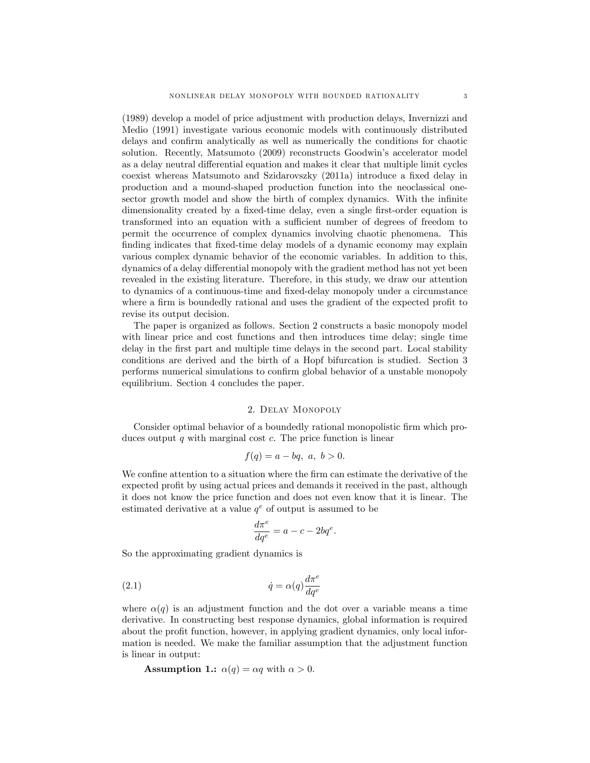(1989) develop a model of price adjustment with production delays, Invernizzi and Medio (1991) investigate various economic models with continuously distributed delays and confirm analytically as well as numerically the conditions for chaotic solution. Recently, Matsumoto (2009) reconstructs Goodwin's accelerator model as a delay neutral differential equation and makes it clear that multiple limit cycles coexist whereas Matsumoto and Szidarovszky (2011a) introduce a fixed delay in production and a mound-shaped production function into the neoclassical onesector growth model and show the birth of complex dynamics. With the infinite dimensionality created by a fixed-time delay, even a single first-order equation is transformed into an equation with a sufficient number of degrees of freedom to permit the occurrence of complex dynamics involving chaotic phenomena. This finding indicates that fixed-time delay models of a dynamic economy may explain various complex dynamic behavior of the economic variables. In addition to this, dynamics of a delay differential monopoly with the gradient method has not yet been revealed in the existing literature. Therefore, in this study, we draw our attention to dynamics of a continuous-time and fixed-delay monopoly under a circumstance where a firm is boundedly rational and uses the gradient of the expected profit to revise its output decision.

The paper is organized as follows. Section 2 constructs a basic monopoly model with linear price and cost functions and then introduces time delay; single time delay in the first part and multiple time delays in the second part. Local stability conditions are derived and the birth of a Hopf bifurcation is studied. Section 3 performs numerical simulations to confirm global behavior of a unstable monopoly equilibrium. Section 4 concludes the paper.

#### 2. Delay Monopoly

Consider optimal behavior of a boundedly rational monopolistic firm which produces output  $q$  with marginal cost  $c$ . The price function is linear

$$
f(q) = a - bq, \ a, \ b > 0.
$$

We confine attention to a situation where the firm can estimate the derivative of the expected profit by using actual prices and demands it received in the past, although it does not know the price function and does not even know that it is linear. The estimated derivative at a value  $q^e$  of output is assumed to be

$$
\frac{d\pi^e}{dq^e} = a - c - 2bq^e.
$$

So the approximating gradient dynamics is

(2.1) 
$$
\dot{q} = \alpha(q) \frac{d\pi^e}{dq^e}
$$

where  $\alpha(q)$  is an adjustment function and the dot over a variable means a time derivative. In constructing best response dynamics, global information is required about the profit function, however, in applying gradient dynamics, only local information is needed. We make the familiar assumption that the adjustment function is linear in output:

**Assumption 1.:**  $\alpha(q) = \alpha q$  with  $\alpha > 0$ .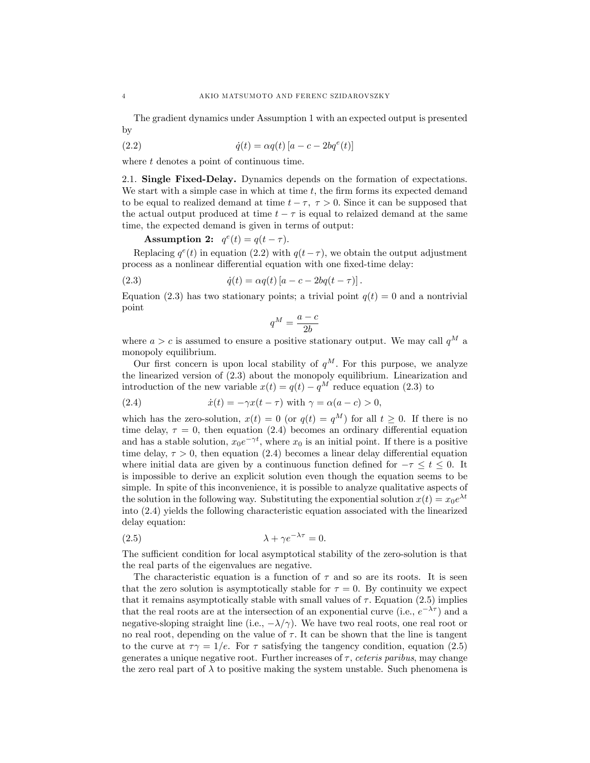The gradient dynamics under Assumption 1 with an expected output is presented by

(2.2) 
$$
\dot{q}(t) = \alpha q(t) \left[ a - c - 2bq^{e}(t) \right]
$$

where t denotes a point of continuous time.

2.1. Single Fixed-Delay. Dynamics depends on the formation of expectations. We start with a simple case in which at time  $t$ , the firm forms its expected demand to be equal to realized demand at time  $t - \tau$ ,  $\tau > 0$ . Since it can be supposed that the actual output produced at time  $t - \tau$  is equal to relaized demand at the same time, the expected demand is given in terms of output:

Assumption 2:  $q^e(t) = q(t - \tau)$ .

Replacing  $q^e(t)$  in equation (2.2) with  $q(t-\tau)$ , we obtain the output adjustment process as a nonlinear differential equation with one fixed-time delay:

(2.3) 
$$
\dot{q}(t) = \alpha q(t) [a - c - 2bq(t - \tau)].
$$

Equation (2.3) has two stationary points; a trivial point  $q(t) = 0$  and a nontrivial point

$$
q^M = \frac{a-c}{2b}
$$

where  $a > c$  is assumed to ensure a positive stationary output. We may call  $q^M$  a monopoly equilibrium.

Our first concern is upon local stability of  $q^M$ . For this purpose, we analyze the linearized version of (2.3) about the monopoly equilibrium. Linearization and introduction of the new variable  $x(t) = q(t) - q^M$  reduce equation (2.3) to

(2.4) 
$$
\dot{x}(t) = -\gamma x(t-\tau) \text{ with } \gamma = \alpha(a-c) > 0,
$$

which has the zero-solution,  $x(t) = 0$  (or  $q(t) = q^M$ ) for all  $t \geq 0$ . If there is no time delay,  $\tau = 0$ , then equation (2.4) becomes an ordinary differential equation and has a stable solution,  $x_0e^{-\gamma t}$ , where  $x_0$  is an initial point. If there is a positive time delay,  $\tau > 0$ , then equation (2.4) becomes a linear delay differential equation where initial data are given by a continuous function defined for  $-\tau \leq t \leq 0$ . It is impossible to derive an explicit solution even though the equation seems to be simple. In spite of this inconvenience, it is possible to analyze qualitative aspects of the solution in the following way. Substituting the exponential solution  $x(t) = x_0 e^{\lambda t}$ into (2.4) yields the following characteristic equation associated with the linearized delay equation:

$$
\lambda + \gamma e^{-\lambda \tau} = 0.
$$

The sufficient condition for local asymptotical stability of the zero-solution is that the real parts of the eigenvalues are negative.

The characteristic equation is a function of  $\tau$  and so are its roots. It is seen that the zero solution is asymptotically stable for  $\tau = 0$ . By continuity we expect that it remains asymptotically stable with small values of  $\tau$ . Equation (2.5) implies that the real roots are at the intersection of an exponential curve (i.e.,  $e^{-\lambda \tau}$ ) and a negative-sloping straight line (i.e.,  $-\lambda/\gamma$ ). We have two real roots, one real root or no real root, depending on the value of  $\tau$ . It can be shown that the line is tangent to the curve at  $\tau \gamma = 1/e$ . For  $\tau$  satisfying the tangency condition, equation (2.5) generates a unique negative root. Further increases of  $\tau$ , *ceteris paribus*, may change the zero real part of  $\lambda$  to positive making the system unstable. Such phenomena is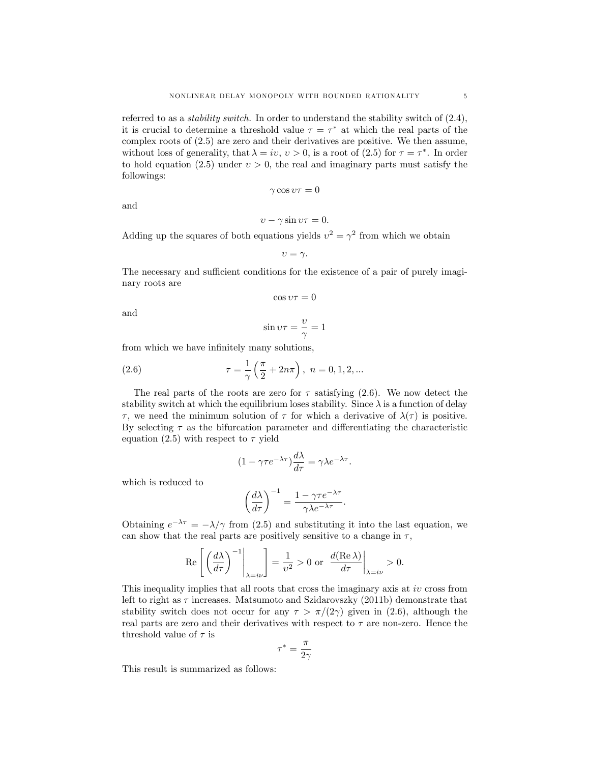referred to as a *stability switch*. In order to understand the stability switch of  $(2.4)$ , it is crucial to determine a threshold value  $\tau = \tau^*$  at which the real parts of the complex roots of (2.5) are zero and their derivatives are positive. We then assume, without loss of generality, that  $\lambda = iv, v > 0$ , is a root of (2.5) for  $\tau = \tau^*$ . In order to hold equation (2.5) under  $v > 0$ , the real and imaginary parts must satisfy the followings:

$$
\gamma \cos \upsilon \tau = 0
$$

and

$$
v - \gamma \sin v\tau = 0.
$$

Adding up the squares of both equations yields  $v^2 = \gamma^2$  from which we obtain

$$
v=\gamma.
$$

The necessary and sufficient conditions for the existence of a pair of purely imaginary roots are

$$
\cos v\tau = 0
$$

and

$$
\sin \upsilon \tau = \frac{\upsilon}{\gamma} = 1
$$

from which we have infinitely many solutions,

(2.6) 
$$
\tau = \frac{1}{\gamma} \left( \frac{\pi}{2} + 2n\pi \right), \ n = 0, 1, 2, ...
$$

The real parts of the roots are zero for  $\tau$  satisfying (2.6). We now detect the stability switch at which the equilibrium loses stability. Since  $\lambda$  is a function of delay  $\tau$ , we need the minimum solution of  $\tau$  for which a derivative of  $\lambda(\tau)$  is positive. By selecting  $\tau$  as the bifurcation parameter and differentiating the characteristic equation (2.5) with respect to  $\tau$  yield

$$
(1 - \gamma \tau e^{-\lambda \tau}) \frac{d\lambda}{d\tau} = \gamma \lambda e^{-\lambda \tau}.
$$

which is reduced to

$$
\left(\frac{d\lambda}{d\tau}\right)^{-1} = \frac{1-\gamma\tau e^{-\lambda\tau}}{\gamma\lambda e^{-\lambda\tau}}.
$$

Obtaining  $e^{-\lambda \tau} = -\lambda/\gamma$  from (2.5) and substituting it into the last equation, we can show that the real parts are positively sensitive to a change in  $\tau$ ,

$$
\text{Re}\left[\left.\left(\frac{d\lambda}{d\tau}\right)^{-1}\right|_{\lambda=i\nu}\right]=\frac{1}{\upsilon^2}>0 \text{ or } \left.\frac{d(\text{Re}\,\lambda)}{d\tau}\right|_{\lambda=i\nu}>0.
$$

This inequality implies that all roots that cross the imaginary axis at  $iv$  cross from left to right as  $\tau$  increases. Matsumoto and Szidarovszky (2011b) demonstrate that stability switch does not occur for any  $\tau > \pi/(2\gamma)$  given in (2.6), although the real parts are zero and their derivatives with respect to  $\tau$  are non-zero. Hence the threshold value of  $\tau$  is

$$
\tau^*=\frac{\pi}{2\gamma}
$$

This result is summarized as follows: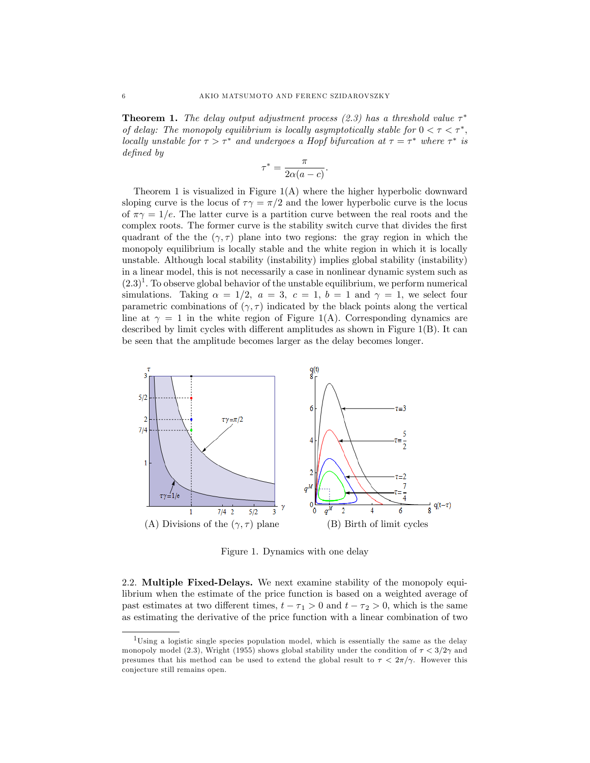**Theorem 1.** The delay output adjustment process (2.3) has a threshold value  $\tau^*$ of delay: The monopoly equilibrium is locally asymptotically stable for  $0 < \tau < \tau^*$ , locally unstable for  $\tau > \tau^*$  and undergoes a Hopf bifurcation at  $\tau = \tau^*$  where  $\tau^*$  is defined by

$$
\tau^* = \frac{\pi}{2\alpha(a-c)}.
$$

Theorem 1 is visualized in Figure  $1(A)$  where the higher hyperbolic downward sloping curve is the locus of  $\tau \gamma = \pi/2$  and the lower hyperbolic curve is the locus of  $\pi\gamma = 1/e$ . The latter curve is a partition curve between the real roots and the complex roots. The former curve is the stability switch curve that divides the first quadrant of the the  $(\gamma, \tau)$  plane into two regions: the gray region in which the monopoly equilibrium is locally stable and the white region in which it is locally unstable. Although local stability (instability) implies global stability (instability) in a linear model, this is not necessarily a case in nonlinear dynamic system such as  $(2.3)^1$ . To observe global behavior of the unstable equilibrium, we perform numerical simulations. Taking  $\alpha = 1/2, a = 3, c = 1, b = 1$  and  $\gamma = 1$ , we select four parametric combinations of  $(\gamma, \tau)$  indicated by the black points along the vertical line at  $\gamma = 1$  in the white region of Figure 1(A). Corresponding dynamics are described by limit cycles with different amplitudes as shown in Figure  $1(B)$ . It can be seen that the amplitude becomes larger as the delay becomes longer.



Figure 1. Dynamics with one delay

2.2. Multiple Fixed-Delays. We next examine stability of the monopoly equilibrium when the estimate of the price function is based on a weighted average of past estimates at two different times,  $t - \tau_1 > 0$  and  $t - \tau_2 > 0$ , which is the same as estimating the derivative of the price function with a linear combination of two

<sup>&</sup>lt;sup>1</sup>Using a logistic single species population model, which is essentially the same as the delay monopoly model (2.3), Wright (1955) shows global stability under the condition of  $\tau < 3/2\gamma$  and presumes that his method can be used to extend the global result to  $\tau < 2\pi/\gamma$ . However this conjecture still remains open.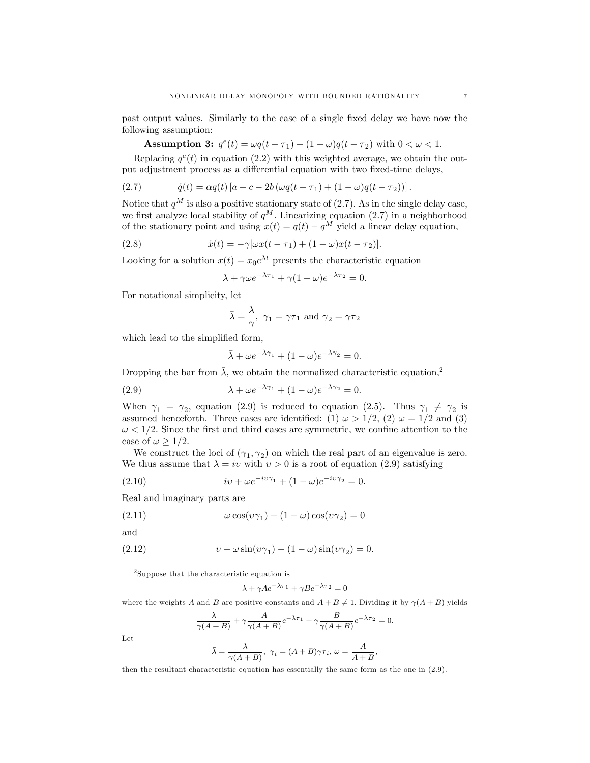past output values. Similarly to the case of a single Öxed delay we have now the following assumption:

**Assumption 3:** 
$$
q^e(t) = \omega q(t - \tau_1) + (1 - \omega)q(t - \tau_2)
$$
 with  $0 < \omega < 1$ .

Replacing  $q^e(t)$  in equation (2.2) with this weighted average, we obtain the output adjustment process as a differential equation with two fixed-time delays,

(2.7) 
$$
\dot{q}(t) = \alpha q(t) [a - c - 2b(\omega q(t - \tau_1) + (1 - \omega)q(t - \tau_2))].
$$

Notice that  $q^M$  is also a positive stationary state of (2.7). As in the single delay case, we first analyze local stability of  $q^M$ . Linearizing equation (2.7) in a neighborhood of the stationary point and using  $x(t) = q(t) - \tilde{q}^M$  yield a linear delay equation,

(2.8) 
$$
\dot{x}(t) = -\gamma[\omega x(t-\tau_1) + (1-\omega)x(t-\tau_2)].
$$

Looking for a solution  $x(t) = x_0 e^{\lambda t}$  presents the characteristic equation

$$
\lambda + \gamma \omega e^{-\lambda \tau_1} + \gamma (1 - \omega) e^{-\lambda \tau_2} = 0.
$$

For notational simplicity, let

$$
\bar{\lambda} = \frac{\lambda}{\gamma}, \ \gamma_1 = \gamma \tau_1 \text{ and } \gamma_2 = \gamma \tau_2
$$

which lead to the simplified form,

$$
\bar{\lambda} + \omega e^{-\bar{\lambda}\gamma_1} + (1 - \omega)e^{-\bar{\lambda}\gamma_2} = 0.
$$

Dropping the bar from  $\bar{\lambda}$ , we obtain the normalized characteristic equation,<sup>2</sup>

(2.9) 
$$
\lambda + \omega e^{-\lambda \gamma_1} + (1 - \omega)e^{-\lambda \gamma_2} = 0.
$$

When  $\gamma_1 = \gamma_2$ , equation (2.9) is reduced to equation (2.5). Thus  $\gamma_1 \neq \gamma_2$  is assumed henceforth. Three cases are identified: (1)  $\omega > 1/2$ , (2)  $\omega = 1/2$  and (3)  $\omega < 1/2$ . Since the first and third cases are symmetric, we confine attention to the case of  $\omega \geq 1/2$ .

We construct the loci of  $(\gamma_1, \gamma_2)$  on which the real part of an eigenvalue is zero. We thus assume that  $\lambda = iv$  with  $v > 0$  is a root of equation (2.9) satisfying

(2.10) 
$$
iv + \omega e^{-iv\gamma_1} + (1 - \omega)e^{-iv\gamma_2} = 0.
$$

Real and imaginary parts are

(2.11) 
$$
\omega \cos(\upsilon \gamma_1) + (1 - \omega) \cos(\upsilon \gamma_2) = 0
$$

and

(2.12) 
$$
v - \omega \sin(v\gamma_1) - (1 - \omega)\sin(v\gamma_2) = 0.
$$

<sup>2</sup>Suppose that the characteristic equation is

$$
\lambda + \gamma Ae^{-\lambda \tau_1} + \gamma Be^{-\lambda \tau_2} = 0
$$

where the weights A and B are positive constants and  $A + B \neq 1$ . Dividing it by  $\gamma(A + B)$  yields

$$
\frac{\lambda}{\gamma(A+B)} + \gamma \frac{A}{\gamma(A+B)} e^{-\lambda \tau_1} + \gamma \frac{B}{\gamma(A+B)} e^{-\lambda \tau_2} = 0.
$$
  

$$
\bar{\lambda} = \frac{\lambda}{\gamma(A+B)}, \ \gamma_i = (A+B)\gamma \tau_i, \ \omega = \frac{A}{A+B},
$$

Let

then the resultant characteristic equation has essentially the same form as the one in 
$$
(2.9)
$$
.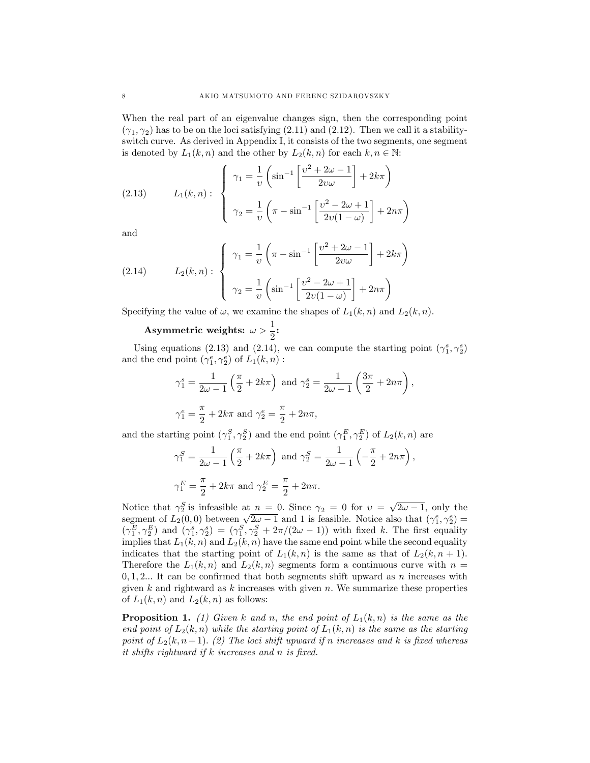When the real part of an eigenvalue changes sign, then the corresponding point  $(\gamma_1, \gamma_2)$  has to be on the loci satisfying (2.11) and (2.12). Then we call it a stabilityswitch curve. As derived in Appendix I, it consists of the two segments, one segment is denoted by  $L_1(k, n)$  and the other by  $L_2(k, n)$  for each  $k, n \in \mathbb{N}$ :

(2.13) 
$$
L_1(k,n): \begin{cases} \gamma_1 = \frac{1}{v} \left( \sin^{-1} \left[ \frac{v^2 + 2\omega - 1}{2v\omega} \right] + 2k\pi \right) \\ \gamma_2 = \frac{1}{v} \left( \pi - \sin^{-1} \left[ \frac{v^2 - 2\omega + 1}{2v(1 - \omega)} \right] + 2n\pi \right) \end{cases}
$$

and

(2.14) 
$$
L_2(k,n): \begin{cases} \gamma_1 = \frac{1}{\upsilon} \left( \pi - \sin^{-1} \left[ \frac{\upsilon^2 + 2\omega - 1}{2\upsilon \omega} \right] + 2k\pi \right) \\ \gamma_2 = \frac{1}{\upsilon} \left( \sin^{-1} \left[ \frac{\upsilon^2 - 2\omega + 1}{2\upsilon(1 - \omega)} \right] + 2n\pi \right) \end{cases}
$$

Specifying the value of  $\omega$ , we examine the shapes of  $L_1(k, n)$  and  $L_2(k, n)$ .

# Asymmetric weights:  $\omega > \frac{1}{2}$  $\frac{1}{2}$ :

Using equations (2.13) and (2.14), we can compute the starting point  $(\gamma_1^s, \gamma_2^s)$ and the end point  $(\gamma_1^e, \gamma_2^e)$  of  $L_1(k, n)$ :

$$
\gamma_1^s = \frac{1}{2\omega - 1} \left( \frac{\pi}{2} + 2k\pi \right) \text{ and } \gamma_2^s = \frac{1}{2\omega - 1} \left( \frac{3\pi}{2} + 2n\pi \right),
$$
  

$$
\gamma_1^e = \frac{\pi}{2} + 2k\pi \text{ and } \gamma_2^e = \frac{\pi}{2} + 2n\pi,
$$

and the starting point  $(\gamma_1^S, \gamma_2^S)$  and the end point  $(\gamma_1^E, \gamma_2^E)$  of  $L_2(k, n)$  are

$$
\gamma_1^S = \frac{1}{2\omega - 1} \left( \frac{\pi}{2} + 2k\pi \right) \text{ and } \gamma_2^S = \frac{1}{2\omega - 1} \left( -\frac{\pi}{2} + 2n\pi \right),
$$
  

$$
\gamma_1^E = \frac{\pi}{2} + 2k\pi \text{ and } \gamma_2^E = \frac{\pi}{2} + 2n\pi.
$$

Notice that  $\gamma_2^S$  is infeasible at  $n = 0$ . Since  $\gamma_2 = 0$  for  $v = \sqrt{2\omega - 1}$ , only the segment of  $L_2(0,0)$  between  $\sqrt{2\omega - 1}$  and 1 is feasible. Notice also that  $(\gamma_1^e, \gamma_2^e)$  =  $(\gamma_1^E, \gamma_2^E)$  and  $(\gamma_1^s, \gamma_2^s) = (\gamma_1^S, \gamma_2^S + 2\pi/(2\omega - 1))$  with fixed k. The first equality implies that  $L_1(k, n)$  and  $L_2(k, n)$  have the same end point while the second equality indicates that the starting point of  $L_1(k,n)$  is the same as that of  $L_2(k,n+1)$ . Therefore the  $L_1(k,n)$  and  $L_2(k,n)$  segments form a continuous curve with  $n=$  $0, 1, 2...$  It can be confirmed that both segments shift upward as n increases with given  $k$  and rightward as  $k$  increases with given  $n$ . We summarize these properties of  $L_1(k,n)$  and  $L_2(k,n)$  as follows:

**Proposition 1.** (1) Given k and n, the end point of  $L_1(k,n)$  is the same as the end point of  $L_2(k, n)$  while the starting point of  $L_1(k, n)$  is the same as the starting point of  $L_2(k, n+1)$ . (2) The loci shift upward if n increases and k is fixed whereas it shifts rightward if  $k$  increases and  $n$  is fixed.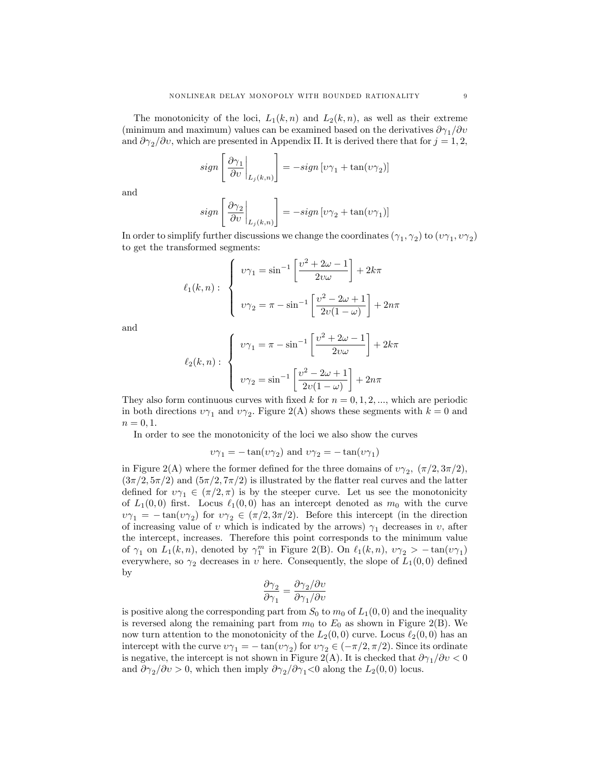The monotonicity of the loci,  $L_1(k,n)$  and  $L_2(k,n)$ , as well as their extreme (minimum and maximum) values can be examined based on the derivatives  $\partial \gamma_1 / \partial v$ and  $\partial \gamma_2/\partial v$ , which are presented in Appendix II. It is derived there that for  $j = 1, 2$ ,

$$
sign\left[\left.\frac{\partial \gamma_1}{\partial v}\right|_{L_j(k,n)}\right] = -sign\left[v\gamma_1 + tan(v\gamma_2)\right]
$$

and

$$
sign\left[\left.\frac{\partial \gamma_2}{\partial \upsilon}\right|_{L_j(k,n)}\right]=-sign\left[\upsilon\gamma_2+\tan(\upsilon\gamma_1)\right]
$$

In order to simplify further discussions we change the coordinates  $(\gamma_1, \gamma_2)$  to  $(v\gamma_1, v\gamma_2)$ to get the transformed segments:

$$
\ell_1(k,n): \begin{cases} \nu \gamma_1 = \sin^{-1} \left[ \frac{\nu^2 + 2\omega - 1}{2\nu\omega} \right] + 2k\pi \\ \nu \gamma_2 = \pi - \sin^{-1} \left[ \frac{\nu^2 - 2\omega + 1}{2\nu(1 - \omega)} \right] + 2n\pi \end{cases}
$$

and

$$
\ell_2(k,n): \begin{cases} \nu\gamma_1 = \pi - \sin^{-1}\left[\frac{\nu^2 + 2\omega - 1}{2\nu\omega}\right] + 2k\pi \\ \nu\gamma_2 = \sin^{-1}\left[\frac{\nu^2 - 2\omega + 1}{2\nu(1 - \omega)}\right] + 2n\pi \end{cases}
$$

They also form continuous curves with fixed k for  $n = 0, 1, 2, \dots$ , which are periodic in both directions  $v\gamma_1$  and  $v\gamma_2$ . Figure 2(A) shows these segments with  $k = 0$  and  $n = 0, 1.$ 

In order to see the monotonicity of the loci we also show the curves

$$
v\gamma_1 = -\tan(v\gamma_2)
$$
 and  $v\gamma_2 = -\tan(v\gamma_1)$ 

in Figure 2(A) where the former defined for the three domains of  $v\gamma_2$ ,  $(\pi/2, 3\pi/2)$ ,  $(3\pi/2, 5\pi/2)$  and  $(5\pi/2, 7\pi/2)$  is illustrated by the flatter real curves and the latter defined for  $v\gamma_1 \in (\pi/2, \pi)$  is by the steeper curve. Let us see the monotonicity of  $L_1(0,0)$  first. Locus  $\ell_1(0,0)$  has an intercept denoted as  $m_0$  with the curve  $v\gamma_1 = -\tan(v\gamma_2)$  for  $v\gamma_2 \in (\pi/2, 3\pi/2)$ . Before this intercept (in the direction of increasing value of v which is indicated by the arrows)  $\gamma_1$  decreases in v, after the intercept, increases. Therefore this point corresponds to the minimum value of  $\gamma_1$  on  $L_1(k,n)$ , denoted by  $\gamma_1^m$  in Figure 2(B). On  $\ell_1(k,n)$ ,  $v\gamma_2 > -\tan(v\gamma_1)$ everywhere, so  $\gamma_2$  decreases in v here. Consequently, the slope of  $L_1(0,0)$  defined by

$$
\frac{\partial \gamma_2}{\partial \gamma_1} = \frac{\partial \gamma_2 / \partial v}{\partial \gamma_1 / \partial v}
$$

is positive along the corresponding part from  $S_0$  to  $m_0$  of  $L_1(0,0)$  and the inequality is reversed along the remaining part from  $m_0$  to  $E_0$  as shown in Figure 2(B). We now turn attention to the monotonicity of the  $L_2(0,0)$  curve. Locus  $\ell_2(0,0)$  has an intercept with the curve  $v\gamma_1 = -\tan(v\gamma_2)$  for  $v\gamma_2 \in (-\pi/2, \pi/2)$ . Since its ordinate is negative, the intercept is not shown in Figure 2(A). It is checked that  $\partial \gamma_1/\partial v < 0$ and  $\partial \gamma_2 / \partial v > 0$ , which then imply  $\partial \gamma_2 / \partial \gamma_1 < 0$  along the  $L_2(0,0)$  locus.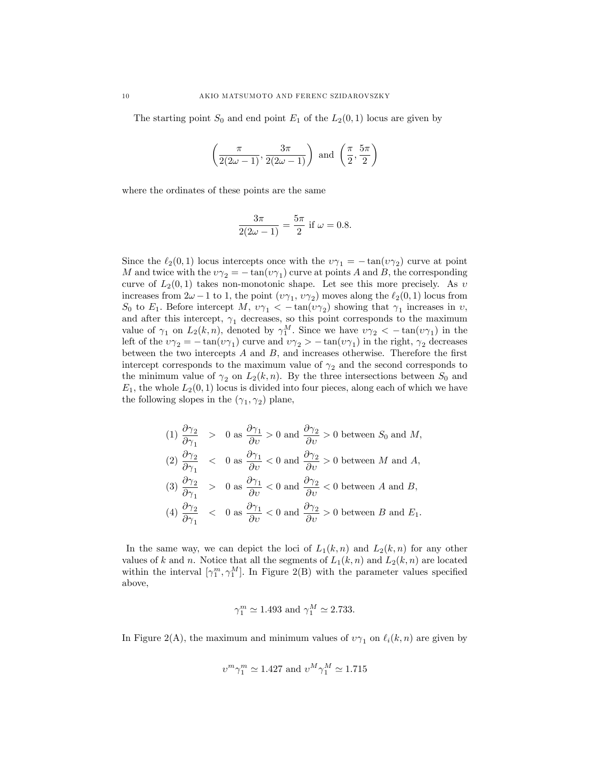The starting point  $S_0$  and end point  $E_1$  of the  $L_2(0,1)$  locus are given by

$$
\left(\frac{\pi}{2(2\omega-1)}, \frac{3\pi}{2(2\omega-1)}\right) \text{ and } \left(\frac{\pi}{2}, \frac{5\pi}{2}\right)
$$

where the ordinates of these points are the same

$$
\frac{3\pi}{2(2\omega - 1)} = \frac{5\pi}{2}
$$
 if  $\omega = 0.8$ .

Since the  $\ell_2(0,1)$  locus intercepts once with the  $v\gamma_1 = -\tan(v\gamma_2)$  curve at point M and twice with the  $v\gamma_2 = -\tan(v\gamma_1)$  curve at points A and B, the corresponding curve of  $L_2(0,1)$  takes non-monotonic shape. Let see this more precisely. As v increases from  $2\omega - 1$  to 1, the point  $(v\gamma_1, v\gamma_2)$  moves along the  $\ell_2(0, 1)$  locus from  $S_0$  to  $E_1$ . Before intercept  $M$ ,  $v\gamma_1 < -\tan(v\gamma_2)$  showing that  $\gamma_1$  increases in  $v$ , and after this intercept,  $\gamma_1$  decreases, so this point corresponds to the maximum value of  $\gamma_1$  on  $L_2(k,n)$ , denoted by  $\gamma_1^M$ . Since we have  $v\gamma_2 < -\tan(v\gamma_1)$  in the left of the  $v\gamma_2 = -\tan(v\gamma_1)$  curve and  $v\gamma_2 > -\tan(v\gamma_1)$  in the right,  $\gamma_2$  decreases between the two intercepts  $A$  and  $B$ , and increases otherwise. Therefore the first intercept corresponds to the maximum value of  $\gamma_2$  and the second corresponds to the minimum value of  $\gamma_2$  on  $L_2(k,n)$ . By the three intersections between  $S_0$  and  $E_1$ , the whole  $L_2(0,1)$  locus is divided into four pieces, along each of which we have the following slopes in the  $(\gamma_1, \gamma_2)$  plane,

(1) 
$$
\frac{\partial \gamma_2}{\partial \gamma_1}
$$
 > 0 as  $\frac{\partial \gamma_1}{\partial v}$  > 0 and  $\frac{\partial \gamma_2}{\partial v}$  > 0 between  $S_0$  and  $M$ ,  
\n(2)  $\frac{\partial \gamma_2}{\partial \gamma_1}$  < 0 as  $\frac{\partial \gamma_1}{\partial v}$  < 0 and  $\frac{\partial \gamma_2}{\partial v}$  > 0 between  $M$  and  $A$ ,  
\n(3)  $\frac{\partial \gamma_2}{\partial \gamma_1}$  > 0 as  $\frac{\partial \gamma_1}{\partial v}$  < 0 and  $\frac{\partial \gamma_2}{\partial v}$  < 0 between  $A$  and  $B$ ,  
\n(4)  $\frac{\partial \gamma_2}{\partial \gamma_1}$  < 0 as  $\frac{\partial \gamma_1}{\partial v}$  < 0 and  $\frac{\partial \gamma_2}{\partial v}$  > 0 between  $B$  and  $E_1$ .

In the same way, we can depict the loci of  $L_1(k,n)$  and  $L_2(k,n)$  for any other values of k and n. Notice that all the segments of  $L_1(k, n)$  and  $L_2(k, n)$  are located within the interval  $[\gamma_1^m, \gamma_1^M]$ . In Figure 2(B) with the parameter values specified above,

$$
\gamma_1^m \simeq 1.493
$$
 and  $\gamma_1^M \simeq 2.733$ .

In Figure 2(A), the maximum and minimum values of  $v\gamma_1$  on  $\ell_i(k,n)$  are given by

$$
\upsilon^m \gamma_1^m \simeq 1.427
$$
 and  $\upsilon^M \gamma_1^M \simeq 1.715$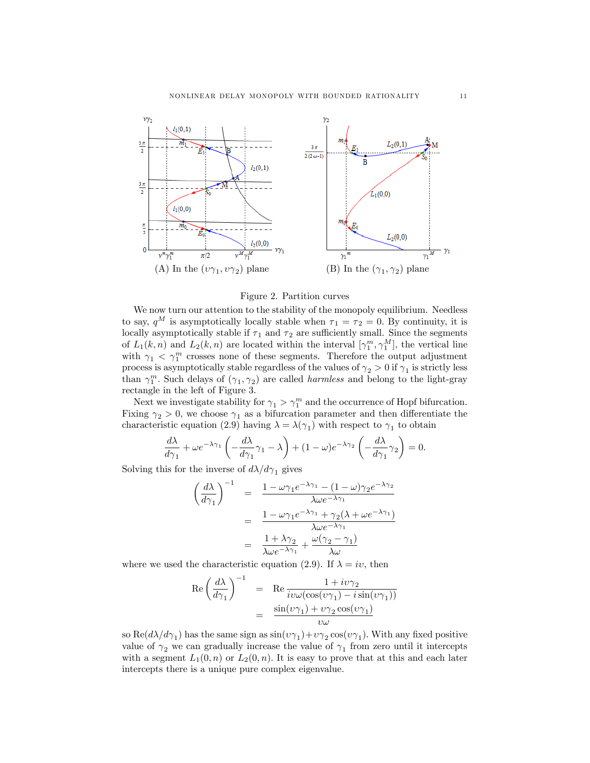

### Figure 2. Partition curves

We now turn our attention to the stability of the monopoly equilibrium. Needless to say,  $q^M$  is asymptotically locally stable when  $\tau_1 = \tau_2 = 0$ . By continuity, it is locally asymptotically stable if  $\tau_1$  and  $\tau_2$  are sufficiently small. Since the segments of  $L_1(k,n)$  and  $L_2(k,n)$  are located within the interval  $[\gamma_1^m, \gamma_1^M]$ , the vertical line with  $\gamma_1 < \gamma_1^m$  crosses none of these segments. Therefore the output adjustment process is asymptotically stable regardless of the values of  $\gamma_2 > 0$  if  $\gamma_1$  is strictly less than  $\gamma_1^m$ . Such delays of  $(\gamma_1, \gamma_2)$  are called *harmless* and belong to the light-gray rectangle in the left of Figure 3.

Next we investigate stability for  $\gamma_1 > \gamma_1^m$  and the occurrence of Hopf bifurcation. Fixing  $\gamma_2 > 0$ , we choose  $\gamma_1$  as a bifurcation parameter and then differentiate the characteristic equation (2.9) having  $\lambda = \lambda(\gamma_1)$  with respect to  $\gamma_1$  to obtain

$$
\frac{d\lambda}{d\gamma_1} + \omega e^{-\lambda \gamma_1} \left( -\frac{d\lambda}{d\gamma_1} \gamma_1 - \lambda \right) + (1 - \omega) e^{-\lambda \gamma_2} \left( -\frac{d\lambda}{d\gamma_1} \gamma_2 \right) = 0.
$$

Solving this for the inverse of  $d\lambda/d\gamma_1$  gives

$$
\left(\frac{d\lambda}{d\gamma_1}\right)^{-1} = \frac{1 - \omega\gamma_1 e^{-\lambda\gamma_1} - (1 - \omega)\gamma_2 e^{-\lambda\gamma_2}}{\lambda\omega e^{-\lambda\gamma_1}}
$$

$$
= \frac{1 - \omega\gamma_1 e^{-\lambda\gamma_1} + \gamma_2(\lambda + \omega e^{-\lambda\gamma_1})}{\lambda\omega e^{-\lambda\gamma_1}}
$$

$$
= \frac{1 + \lambda\gamma_2}{\lambda\omega e^{-\lambda\gamma_1}} + \frac{\omega(\gamma_2 - \gamma_1)}{\lambda\omega}
$$

where we used the characteristic equation (2.9). If  $\lambda = iv$ , then

$$
\operatorname{Re}\left(\frac{d\lambda}{d\gamma_1}\right)^{-1} = \operatorname{Re}\frac{1+i\upsilon\gamma_2}{i\upsilon\omega(\cos(\upsilon\gamma_1)-i\sin(\upsilon\gamma_1))}
$$

$$
= \frac{\sin(\upsilon\gamma_1)+\upsilon\gamma_2\cos(\upsilon\gamma_1)}{\upsilon\omega}
$$

so  $\text{Re}(d\lambda/d\gamma_1)$  has the same sign as  $\sin(\nu\gamma_1)+\nu\gamma_2\cos(\nu\gamma_1)$ . With any fixed positive value of  $\gamma_2$  we can gradually increase the value of  $\gamma_1$  from zero until it intercepts with a segment  $L_1(0, n)$  or  $L_2(0, n)$ . It is easy to prove that at this and each later intercepts there is a unique pure complex eigenvalue.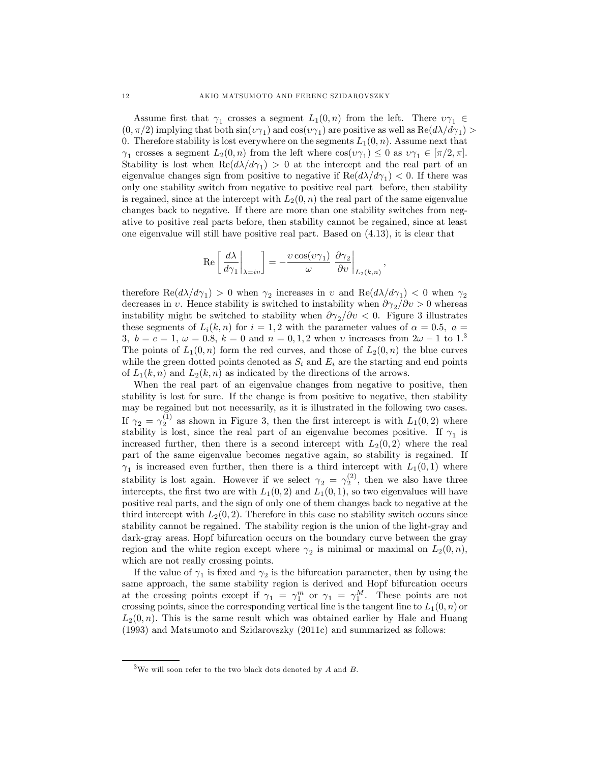Assume first that  $\gamma_1$  crosses a segment  $L_1(0,n)$  from the left. There  $v\gamma_1 \in$  $(0, \pi/2)$  implying that both  $\sin(v\gamma_1)$  and  $\cos(v\gamma_1)$  are positive as well as  $\text{Re}(d\lambda/d\gamma_1)$ 0. Therefore stability is lost everywhere on the segments  $L_1(0, n)$ . Assume next that  $\gamma_1$  crosses a segment  $L_2(0, n)$  from the left where  $\cos(v\gamma_1) \leq 0$  as  $v\gamma_1 \in [\pi/2, \pi]$ . Stability is lost when  $\text{Re}(d\lambda/d\gamma_1) > 0$  at the intercept and the real part of an eigenvalue changes sign from positive to negative if  $Re(d\lambda/d\gamma_1) < 0$ . If there was only one stability switch from negative to positive real part before, then stability is regained, since at the intercept with  $L_2(0, n)$  the real part of the same eigenvalue changes back to negative. If there are more than one stability switches from negative to positive real parts before, then stability cannot be regained, since at least one eigenvalue will still have positive real part. Based on (4.13), it is clear that

$$
\operatorname{Re}\left[\left.\frac{d\lambda}{d\gamma_1}\right|_{\lambda=iv}\right] = -\frac{\upsilon\cos(\upsilon\gamma_1)}{\omega}\left.\frac{\partial\gamma_2}{\partial\upsilon}\right|_{L_2(k,n)},
$$

therefore  $\text{Re}(d\lambda/d\gamma_1) > 0$  when  $\gamma_2$  increases in v and  $\text{Re}(d\lambda/d\gamma_1) < 0$  when  $\gamma_2$ decreases in v. Hence stability is switched to instability when  $\partial \gamma_2 / \partial v > 0$  whereas instability might be switched to stability when  $\partial \gamma_2 / \partial v < 0$ . Figure 3 illustrates these segments of  $L_i(k, n)$  for  $i = 1, 2$  with the parameter values of  $\alpha = 0.5$ ,  $a =$ 3,  $b = c = 1, \omega = 0.8, k = 0$  and  $n = 0, 1, 2$  when v increases from  $2\omega - 1$  to  $1.\overline{3}$ The points of  $L_1(0, n)$  form the red curves, and those of  $L_2(0, n)$  the blue curves while the green dotted points denoted as  $S_i$  and  $E_i$  are the starting and end points of  $L_1(k,n)$  and  $L_2(k,n)$  as indicated by the directions of the arrows.

When the real part of an eigenvalue changes from negative to positive, then stability is lost for sure. If the change is from positive to negative, then stability may be regained but not necessarily, as it is illustrated in the following two cases. If  $\gamma_2 = \gamma_2^{(1)}$  as shown in Figure 3, then the first intercept is with  $L_1(0, 2)$  where stability is lost, since the real part of an eigenvalue becomes positive. If  $\gamma_1$  is increased further, then there is a second intercept with  $L_2(0, 2)$  where the real part of the same eigenvalue becomes negative again, so stability is regained. If  $\gamma_1$  is increased even further, then there is a third intercept with  $L_1(0,1)$  where stability is lost again. However if we select  $\gamma_2 = \gamma_2^{(2)}$ , then we also have three intercepts, the first two are with  $L_1(0, 2)$  and  $L_1(0, 1)$ , so two eigenvalues will have positive real parts, and the sign of only one of them changes back to negative at the third intercept with  $L_2(0, 2)$ . Therefore in this case no stability switch occurs since stability cannot be regained. The stability region is the union of the light-gray and dark-gray areas. Hopf bifurcation occurs on the boundary curve between the gray region and the white region except where  $\gamma_2$  is minimal or maximal on  $L_2(0, n)$ , which are not really crossing points.

If the value of  $\gamma_1$  is fixed and  $\gamma_2$  is the bifurcation parameter, then by using the same approach, the same stability region is derived and Hopf bifurcation occurs at the crossing points except if  $\gamma_1 = \gamma_1^m$  or  $\gamma_1 = \gamma_1^M$ . These points are not crossing points, since the corresponding vertical line is the tangent line to  $L_1(0, n)$  or  $L_2(0, n)$ . This is the same result which was obtained earlier by Hale and Huang (1993) and Matsumoto and Szidarovszky (2011c) and summarized as follows:

<sup>&</sup>lt;sup>3</sup>We will soon refer to the two black dots denoted by  $A$  and  $B$ .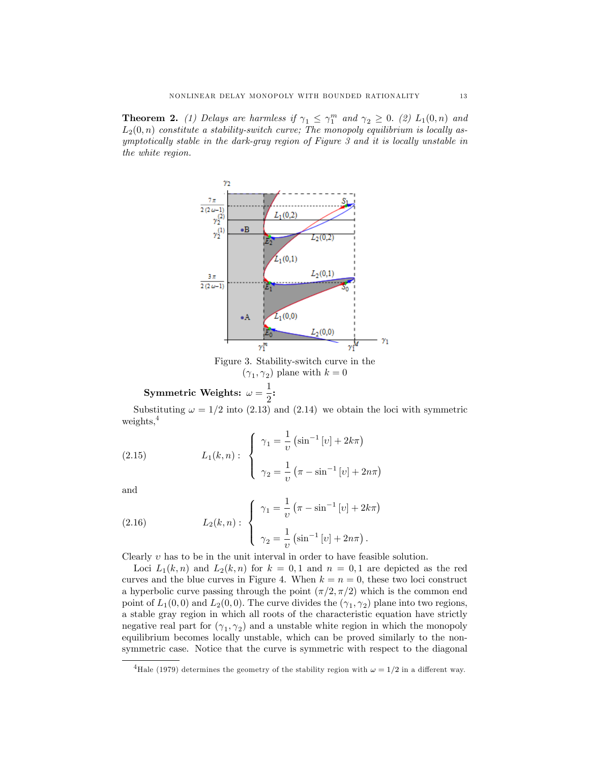**Theorem 2.** (1) Delays are harmless if  $\gamma_1 \leq \gamma_1^m$  and  $\gamma_2 \geq 0$ . (2)  $L_1(0,n)$  and  $L_2(0, n)$  constitute a stability-switch curve; The monopoly equilibrium is locally asymptotically stable in the dark-gray region of Figure 3 and it is locally unstable in the white region.



Figure 3. Stability-switch curve in the  $(\gamma_1, \gamma_2)$  plane with  $k = 0$ 

Symmetric Weights: 
$$
\omega = \frac{1}{2}
$$
:

Substituting  $\omega = 1/2$  into (2.13) and (2.14) we obtain the loci with symmetric weights,<sup>4</sup>

(2.15) 
$$
L_1(k,n): \begin{cases} \gamma_1 = \frac{1}{\nu} (\sin^{-1} [\nu] + 2k\pi) \\ \gamma_2 = \frac{1}{\nu} (\pi - \sin^{-1} [\nu] + 2n\pi) \end{cases}
$$

and

(2.16) 
$$
L_2(k,n): \begin{cases} \gamma_1 = \frac{1}{\nu} (\pi - \sin^{-1} [\nu] + 2k\pi) \\ \gamma_2 = \frac{1}{\nu} (\sin^{-1} [\nu] + 2n\pi). \end{cases}
$$

Clearly  $v$  has to be in the unit interval in order to have feasible solution.

Loci  $L_1(k,n)$  and  $L_2(k,n)$  for  $k=0,1$  and  $n=0,1$  are depicted as the red curves and the blue curves in Figure 4. When  $k = n = 0$ , these two loci construct a hyperbolic curve passing through the point  $(\pi/2, \pi/2)$  which is the common end point of  $L_1(0,0)$  and  $L_2(0,0)$ . The curve divides the  $(\gamma_1, \gamma_2)$  plane into two regions, a stable gray region in which all roots of the characteristic equation have strictly negative real part for  $(\gamma_1, \gamma_2)$  and a unstable white region in which the monopoly equilibrium becomes locally unstable, which can be proved similarly to the nonsymmetric case. Notice that the curve is symmetric with respect to the diagonal

<sup>&</sup>lt;sup>4</sup>Hale (1979) determines the geometry of the stability region with  $\omega = 1/2$  in a different way.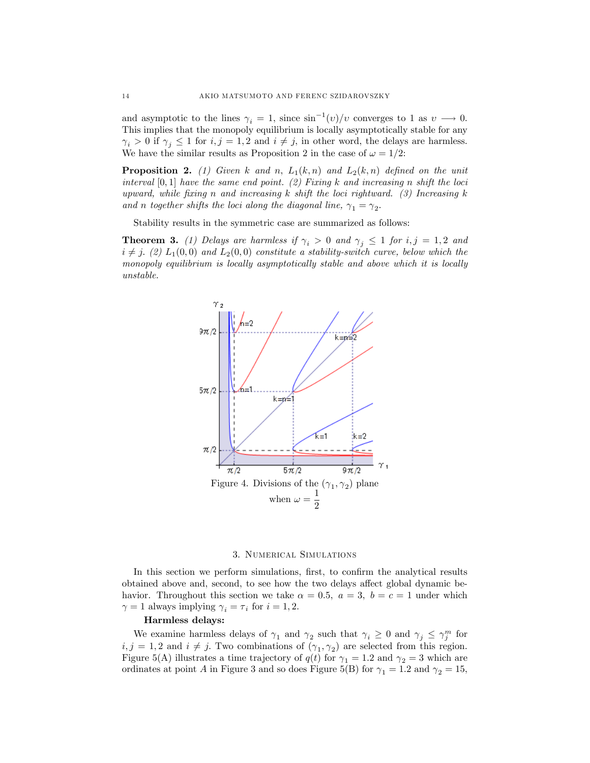and asymptotic to the lines  $\gamma_i = 1$ , since  $\sin^{-1}(v)/v$  converges to 1 as  $v \to 0$ . This implies that the monopoly equilibrium is locally asymptotically stable for any  $\gamma_i > 0$  if  $\gamma_j \leq 1$  for  $i, j = 1, 2$  and  $i \neq j$ , in other word, the delays are harmless. We have the similar results as Proposition 2 in the case of  $\omega = 1/2$ :

**Proposition 2.** (1) Given k and n,  $L_1(k,n)$  and  $L_2(k,n)$  defined on the unit interval  $[0,1]$  have the same end point. (2) Fixing k and increasing n shift the loci upward, while fixing n and increasing k shift the loci rightward. (3) Increasing  $k$ and n together shifts the loci along the diagonal line,  $\gamma_1 = \gamma_2$ .

Stability results in the symmetric case are summarized as follows:

**Theorem 3.** (1) Delays are harmless if  $\gamma_i > 0$  and  $\gamma_j \leq 1$  for  $i, j = 1, 2$  and  $i \neq j.$  (2)  $L_1(0,0)$  and  $L_2(0,0)$  constitute a stability-switch curve, below which the monopoly equilibrium is locally asymptotically stable and above which it is locally unstable.



#### 3. Numerical Simulations

In this section we perform simulations, first, to confirm the analytical results obtained above and, second, to see how the two delays affect global dynamic behavior. Throughout this section we take  $\alpha = 0.5$ ,  $a = 3$ ,  $b = c = 1$  under which  $\gamma = 1$  always implying  $\gamma_i = \tau_i$  for  $i = 1, 2$ .

#### Harmless delays:

We examine harmless delays of  $\gamma_1$  and  $\gamma_2$  such that  $\gamma_i \geq 0$  and  $\gamma_j \leq \gamma_j^m$  for  $i, j = 1, 2$  and  $i \neq j$ . Two combinations of  $(\gamma_1, \gamma_2)$  are selected from this region. Figure 5(A) illustrates a time trajectory of  $q(t)$  for  $\gamma_1 = 1.2$  and  $\gamma_2 = 3$  which are ordinates at point A in Figure 3 and so does Figure 5(B) for  $\gamma_1 = 1.2$  and  $\gamma_2 = 15$ ,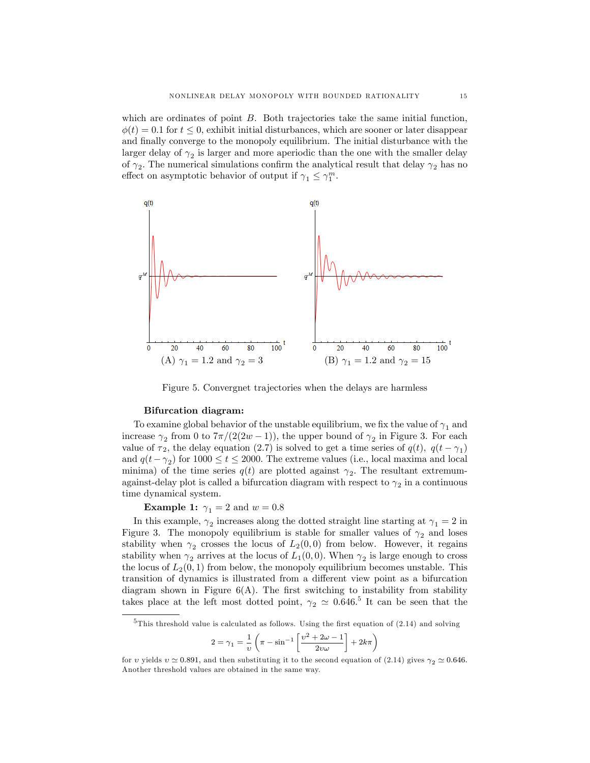which are ordinates of point B. Both trajectories take the same initial function,  $\phi(t) = 0.1$  for  $t \leq 0$ , exhibit initial disturbances, which are sooner or later disappear and finally converge to the monopoly equilibrium. The initial disturbance with the larger delay of  $\gamma_2$  is larger and more aperiodic than the one with the smaller delay of  $\gamma_2$ . The numerical simulations confirm the analytical result that delay  $\gamma_2$  has no effect on asymptotic behavior of output if  $\gamma_1 \leq \gamma_1^m$ .



Figure 5. Convergnet trajectories when the delays are harmless

#### Bifurcation diagram:

To examine global behavior of the unstable equilibrium, we fix the value of  $\gamma_1$  and increase  $\gamma_2$  from 0 to  $7\pi/(2(2w-1))$ , the upper bound of  $\gamma_2$  in Figure 3. For each value of  $\tau_2$ , the delay equation (2.7) is solved to get a time series of  $q(t)$ ,  $q(t - \gamma_1)$ and  $q(t - \gamma_2)$  for  $1000 \le t \le 2000$ . The extreme values (i.e., local maxima and local minima) of the time series  $q(t)$  are plotted against  $\gamma_2$ . The resultant extremumagainst-delay plot is called a bifurcation diagram with respect to  $\gamma_2$  in a continuous time dynamical system.

Example 1:  $\gamma_1 = 2$  and  $w = 0.8$ 

In this example,  $\gamma_2$  increases along the dotted straight line starting at  $\gamma_1 = 2$  in Figure 3. The monopoly equilibrium is stable for smaller values of  $\gamma_2$  and loses stability when  $\gamma_2$  crosses the locus of  $L_2(0,0)$  from below. However, it regains stability when  $\gamma_2$  arrives at the locus of  $L_1(0,0)$ . When  $\gamma_2$  is large enough to cross the locus of  $L_2(0,1)$  from below, the monopoly equilibrium becomes unstable. This transition of dynamics is illustrated from a different view point as a bifurcation diagram shown in Figure  $6(A)$ . The first switching to instability from stability takes place at the left most dotted point,  $\gamma_2 \simeq 0.646$ <sup>5</sup> It can be seen that the

$$
2 = \gamma_1 = \frac{1}{\upsilon} \left( \pi - \sin^{-1} \left[ \frac{\upsilon^2 + 2\omega - 1}{2\upsilon \omega} \right] + 2k\pi \right)
$$

 $5$ This threshold value is calculated as follows. Using the first equation of (2.14) and solving

for v yields  $v \approx 0.891$ , and then substituting it to the second equation of (2.14) gives  $\gamma_2 \approx 0.646$ . Another threshold values are obtained in the same way.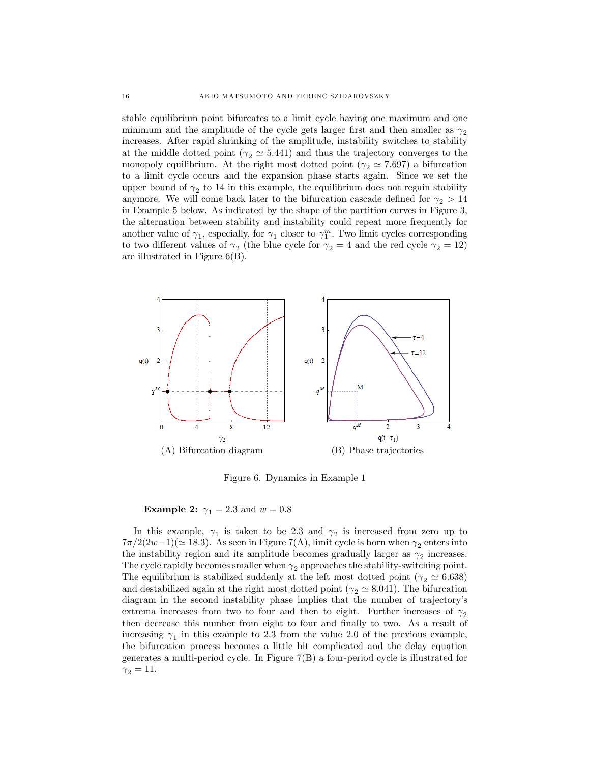stable equilibrium point bifurcates to a limit cycle having one maximum and one minimum and the amplitude of the cycle gets larger first and then smaller as  $\gamma_2$ increases. After rapid shrinking of the amplitude, instability switches to stability at the middle dotted point  $(\gamma_2 \simeq 5.441)$  and thus the trajectory converges to the monopoly equilibrium. At the right most dotted point ( $\gamma_2 \simeq 7.697$ ) a bifurcation to a limit cycle occurs and the expansion phase starts again. Since we set the upper bound of  $\gamma_2$  to 14 in this example, the equilibrium does not regain stability anymore. We will come back later to the bifurcation cascade defined for  $\gamma_2 > 14$ in Example 5 below. As indicated by the shape of the partition curves in Figure 3, the alternation between stability and instability could repeat more frequently for another value of  $\gamma_1$ , especially, for  $\gamma_1$  closer to  $\gamma_1^m$ . Two limit cycles corresponding to two different values of  $\gamma_2$  (the blue cycle for  $\gamma_2 = 4$  and the red cycle  $\gamma_2 = 12$ ) are illustrated in Figure 6(B).



Figure 6. Dynamics in Example 1

## **Example 2:**  $\gamma_1 = 2.3$  and  $w = 0.8$

In this example,  $\gamma_1$  is taken to be 2.3 and  $\gamma_2$  is increased from zero up to  $7\pi/2(2w-1)(\simeq 18.3)$ . As seen in Figure 7(A), limit cycle is born when  $\gamma_2$  enters into the instability region and its amplitude becomes gradually larger as  $\gamma_2$  increases. The cycle rapidly becomes smaller when  $\gamma_2$  approaches the stability-switching point. The equilibrium is stabilized suddenly at the left most dotted point ( $\gamma_2 \simeq 6.638$ ) and destabilized again at the right most dotted point ( $\gamma_2 \simeq 8.041$ ). The bifurcation diagram in the second instability phase implies that the number of trajectoryís extrema increases from two to four and then to eight. Further increases of  $\gamma_2$ then decrease this number from eight to four and finally to two. As a result of increasing  $\gamma_1$  in this example to 2.3 from the value 2.0 of the previous example, the bifurcation process becomes a little bit complicated and the delay equation generates a multi-period cycle. In Figure 7(B) a four-period cycle is illustrated for  $\gamma_2 = 11.$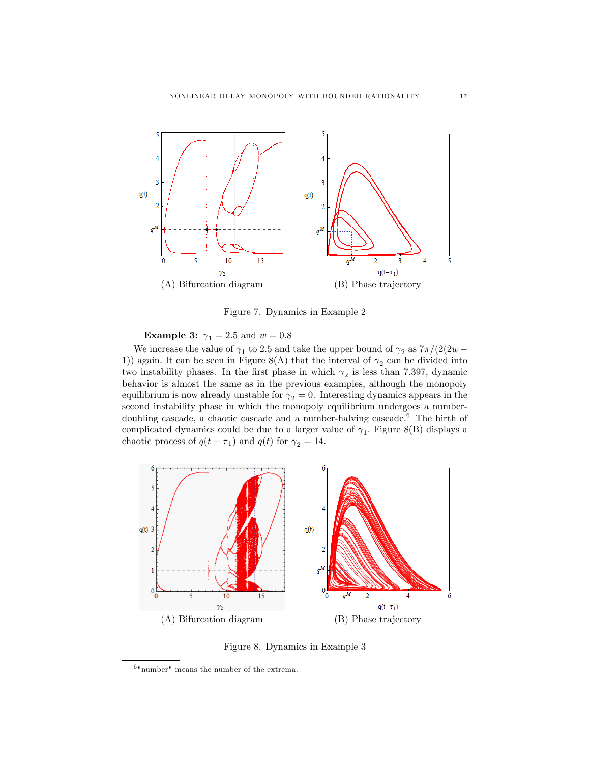

Figure 7. Dynamics in Example 2

**Example 3:**  $\gamma_1 = 2.5$  and  $w = 0.8$ 

We increase the value of  $\gamma_1$  to 2.5 and take the upper bound of  $\gamma_2$  as  $7\pi/(2(2w -$ 1) again. It can be seen in Figure 8(A) that the interval of  $\gamma_2$  can be divided into two instability phases. In the first phase in which  $\gamma_2$  is less than 7.397, dynamic behavior is almost the same as in the previous examples, although the monopoly equilibrium is now already unstable for  $\gamma_2 = 0$ . Interesting dynamics appears in the second instability phase in which the monopoly equilibrium undergoes a numberdoubling cascade, a chaotic cascade and a number-halving cascade.<sup>6</sup> The birth of complicated dynamics could be due to a larger value of  $\gamma_1$ . Figure 8(B) displays a chaotic process of  $q(t - \tau_1)$  and  $q(t)$  for  $\gamma_2 = 14$ .



Figure 8. Dynamics in Example 3

<sup>6</sup> "number" means the number of the extrema.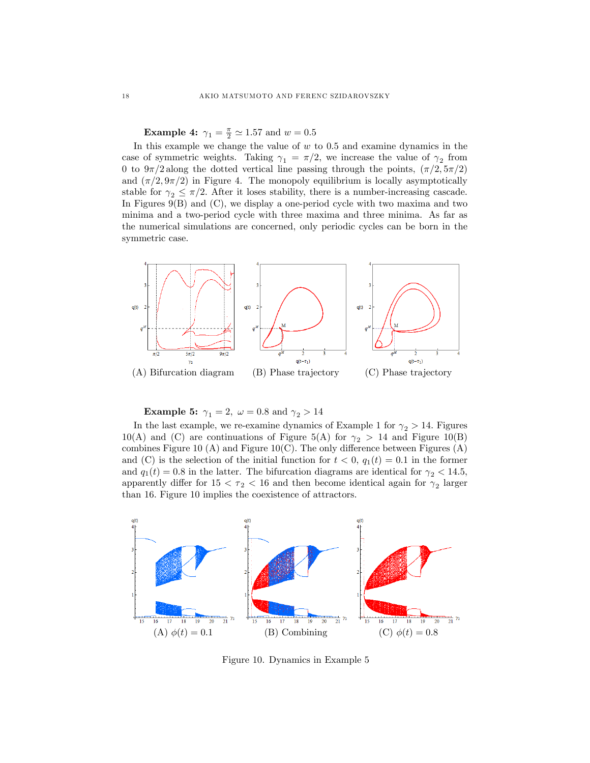**Example 4:**  $\gamma_1 = \frac{\pi}{2} \approx 1.57$  and  $w = 0.5$ 

In this example we change the value of  $w$  to 0.5 and examine dynamics in the case of symmetric weights. Taking  $\gamma_1 = \pi/2$ , we increase the value of  $\gamma_2$  from 0 to  $9\pi/2$  along the dotted vertical line passing through the points,  $(\pi/2, 5\pi/2)$ and  $(\pi/2, 9\pi/2)$  in Figure 4. The monopoly equilibrium is locally asymptotically stable for  $\gamma_2 \leq \pi/2$ . After it loses stability, there is a number-increasing cascade. In Figures 9(B) and (C), we display a one-period cycle with two maxima and two minima and a two-period cycle with three maxima and three minima. As far as the numerical simulations are concerned, only periodic cycles can be born in the symmetric case.



Example 5:  $\gamma_1 = 2$ ,  $\omega = 0.8$  and  $\gamma_2 > 14$ 

In the last example, we re-examine dynamics of Example 1 for  $\gamma_2 > 14$ . Figures 10(A) and (C) are continuations of Figure 5(A) for  $\gamma_2 > 14$  and Figure 10(B) combines Figure 10 (A) and Figure 10(C). The only difference between Figures (A) and (C) is the selection of the initial function for  $t < 0$ ,  $q_1(t) = 0.1$  in the former and  $q_1(t) = 0.8$  in the latter. The bifurcation diagrams are identical for  $\gamma_2 < 14.5$ , apparently differ for  $15 < \tau_2 < 16$  and then become identical again for  $\gamma_2$  larger than 16. Figure 10 implies the coexistence of attractors.



Figure 10. Dynamics in Example 5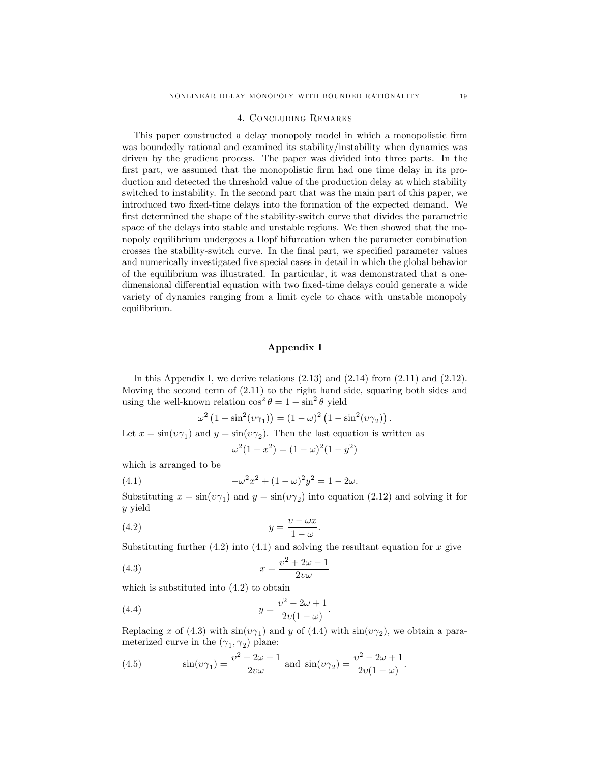#### 4. Concluding Remarks

This paper constructed a delay monopoly model in which a monopolistic Örm was boundedly rational and examined its stability/instability when dynamics was driven by the gradient process. The paper was divided into three parts. In the first part, we assumed that the monopolistic firm had one time delay in its production and detected the threshold value of the production delay at which stability switched to instability. In the second part that was the main part of this paper, we introduced two Öxed-time delays into the formation of the expected demand. We first determined the shape of the stability-switch curve that divides the parametric space of the delays into stable and unstable regions. We then showed that the monopoly equilibrium undergoes a Hopf bifurcation when the parameter combination crosses the stability-switch curve. In the final part, we specified parameter values and numerically investigated Öve special cases in detail in which the global behavior of the equilibrium was illustrated. In particular, it was demonstrated that a onedimensional differential equation with two fixed-time delays could generate a wide variety of dynamics ranging from a limit cycle to chaos with unstable monopoly equilibrium.

### Appendix I

In this Appendix I, we derive relations  $(2.13)$  and  $(2.14)$  from  $(2.11)$  and  $(2.12)$ . Moving the second term of (2.11) to the right hand side, squaring both sides and using the well-known relation  $\cos^2 \theta = 1 - \sin^2 \theta$  yield

$$
\omega^2 \left(1 - \sin^2(v\gamma_1)\right) = (1 - \omega)^2 \left(1 - \sin^2(v\gamma_2)\right).
$$

Let  $x = \sin(v\gamma_1)$  and  $y = \sin(v\gamma_2)$ . Then the last equation is written as  $\omega^2(1-x^2)=(1-\omega)^2(1-y^2)$ 

which is arranged to be

(4.1) 
$$
-\omega^2 x^2 + (1 - \omega)^2 y^2 = 1 - 2\omega.
$$

Substituting  $x = \sin(v\gamma_1)$  and  $y = \sin(v\gamma_2)$  into equation (2.12) and solving it for y yield

$$
(4.2) \t\t y = \frac{v - \omega x}{1 - \omega}.
$$

Substituting further  $(4.2)$  into  $(4.1)$  and solving the resultant equation for x give

$$
(4.3) \t\t x = \frac{v^2 + 2\omega - 1}{2v\omega}
$$

which is substituted into (4.2) to obtain

(4.4) 
$$
y = \frac{v^2 - 2\omega + 1}{2v(1 - \omega)}.
$$

Replacing x of (4.3) with  $\sin(v\gamma_1)$  and y of (4.4) with  $\sin(v\gamma_2)$ , we obtain a parameterized curve in the  $(\gamma_1, \gamma_2)$  plane:

(4.5) 
$$
\sin(v\gamma_1) = \frac{v^2 + 2\omega - 1}{2v\omega} \text{ and } \sin(v\gamma_2) = \frac{v^2 - 2\omega + 1}{2v(1 - \omega)}.
$$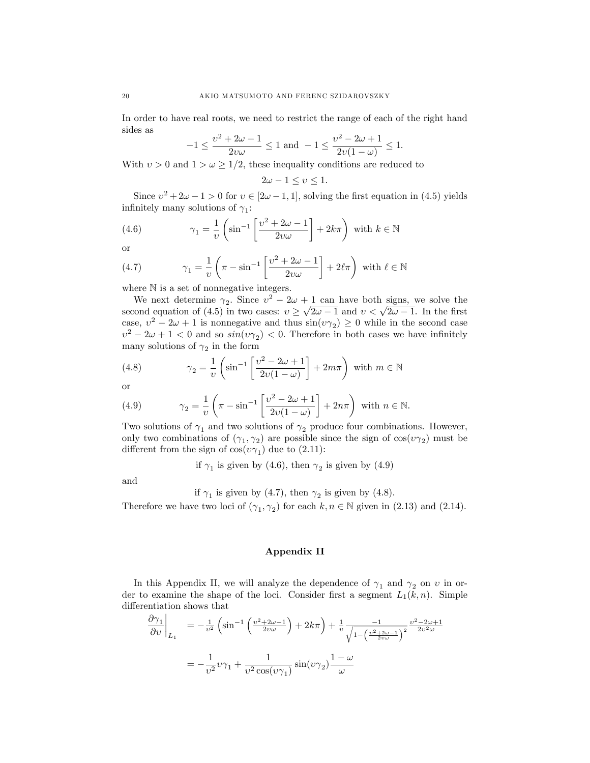In order to have real roots, we need to restrict the range of each of the right hand sides as

$$
-1 \le \frac{v^2 + 2\omega - 1}{2v\omega} \le 1 \text{ and } -1 \le \frac{v^2 - 2\omega + 1}{2v(1 - \omega)} \le 1.
$$

With  $v > 0$  and  $1 > \omega \ge 1/2$ , these inequality conditions are reduced to

$$
2\omega - 1 \le \upsilon \le 1.
$$

Since  $v^2 + 2\omega - 1 > 0$  for  $v \in [2\omega - 1, 1]$ , solving the first equation in (4.5) yields infinitely many solutions of  $\gamma_1$ :

(4.6) 
$$
\gamma_1 = \frac{1}{v} \left( \sin^{-1} \left[ \frac{v^2 + 2\omega - 1}{2v\omega} \right] + 2k\pi \right) \text{ with } k \in \mathbb{N}
$$

or

(4.7) 
$$
\gamma_1 = \frac{1}{\nu} \left( \pi - \sin^{-1} \left[ \frac{\nu^2 + 2\omega - 1}{2\nu \omega} \right] + 2\ell\pi \right) \text{ with } \ell \in \mathbb{N}
$$

where  $\mathbb N$  is a set of nonnegative integers.

We next determine  $\gamma_2$ . Since  $v^2 - 2\omega + 1$  can have both signs, we solve the second equation of (4.5) in two cases:  $v \ge \sqrt{2\omega - 1}$  and  $v < \sqrt{2\omega - 1}$ . In the first case,  $v^2 - 2\omega + 1$  is nonnegative and thus  $\sin(v\gamma_2) \ge 0$  while in the second case  $v^2 - 2\omega + 1 < 0$  and so  $sin(v\gamma_2) < 0$ . Therefore in both cases we have infinitely many solutions of  $\gamma_2$  in the form

(4.8) 
$$
\gamma_2 = \frac{1}{v} \left( \sin^{-1} \left[ \frac{v^2 - 2\omega + 1}{2v(1 - \omega)} \right] + 2m\pi \right) \text{ with } m \in \mathbb{N}
$$

or

(4.9) 
$$
\gamma_2 = \frac{1}{\nu} \left( \pi - \sin^{-1} \left[ \frac{\nu^2 - 2\omega + 1}{2\nu(1 - \omega)} \right] + 2n\pi \right) \text{ with } n \in \mathbb{N}.
$$

Two solutions of  $\gamma_1$  and two solutions of  $\gamma_2$  produce four combinations. However, only two combinations of  $(\gamma_1, \gamma_2)$  are possible since the sign of  $\cos(v\gamma_2)$  must be different from the sign of  $cos(v\gamma_1)$  due to  $(2.11)$ :

if  $\gamma_1$  is given by (4.6), then  $\gamma_2$  is given by (4.9)

and

if 
$$
\gamma_1
$$
 is given by (4.7), then  $\gamma_2$  is given by (4.8).

Therefore we have two loci of  $(\gamma_1, \gamma_2)$  for each  $k, n \in \mathbb{N}$  given in (2.13) and (2.14).

## Appendix II

In this Appendix II, we will analyze the dependence of  $\gamma_1$  and  $\gamma_2$  on v in order to examine the shape of the loci. Consider first a segment  $L_1(k, n)$ . Simple differentiation shows that

$$
\frac{\partial \gamma_1}{\partial v}\Big|_{L_1} = -\frac{1}{v^2} \left( \sin^{-1} \left( \frac{v^2 + 2\omega - 1}{2v\omega} \right) + 2k\pi \right) + \frac{1}{v} \frac{-1}{\sqrt{1 - \left( \frac{v^2 + 2\omega - 1}{2v\omega} \right)^2}} \frac{v^2 - 2\omega + 1}{2v^2 \omega}
$$

$$
= -\frac{1}{v^2} v \gamma_1 + \frac{1}{v^2 \cos(v\gamma_1)} \sin(v\gamma_2) \frac{1 - \omega}{\omega}
$$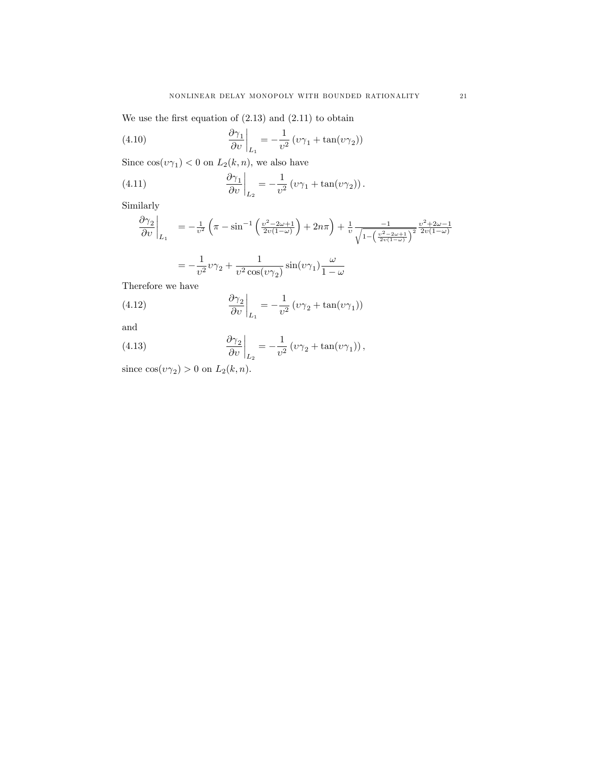We use the first equation of  $(2.13)$  and  $(2.11)$  to obtain

(4.10) 
$$
\left. \frac{\partial \gamma_1}{\partial v} \right|_{L_1} = -\frac{1}{v^2} \left( v \gamma_1 + \tan(v \gamma_2) \right)
$$

Since  $cos(v\gamma_1) < 0$  on  $L_2(k, n)$ , we also have

(4.11) 
$$
\left. \frac{\partial \gamma_1}{\partial v} \right|_{L_2} = -\frac{1}{v^2} \left( v \gamma_1 + \tan(v \gamma_2) \right).
$$

Similarly

$$
\frac{\partial \gamma_2}{\partial v}\Big|_{L_1} = -\frac{1}{v^2} \left( \pi - \sin^{-1} \left( \frac{v^2 - 2\omega + 1}{2v(1 - \omega)} \right) + 2n\pi \right) + \frac{1}{v} \frac{-1}{\sqrt{1 - \left( \frac{v^2 - 2\omega + 1}{2v(1 - \omega)} \right)^2}} \frac{v^2 + 2\omega - 1}{2v(1 - \omega)}
$$

$$
= -\frac{1}{v^2}v\gamma_2 + \frac{1}{v^2\cos(v\gamma_2)}\sin(v\gamma_1)\frac{\omega}{1-\omega}
$$

Therefore we have

(4.12) 
$$
\frac{\partial \gamma_2}{\partial v}\bigg|_{L_1} = -\frac{1}{v^2} \left(v\gamma_2 + \tan(v\gamma_1)\right)
$$

and

(4.13) 
$$
\left.\frac{\partial \gamma_2}{\partial v}\right|_{L_2} = -\frac{1}{v^2} \left(v\gamma_2 + \tan(v\gamma_1)\right),
$$

since  $cos(v\gamma_2) > 0$  on  $L_2(k, n)$ .